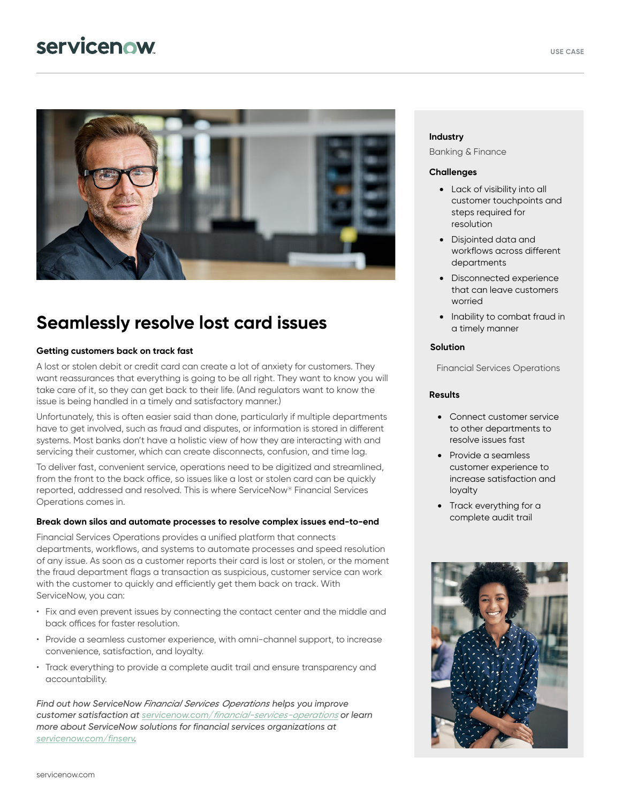## servicenow



## **Seamlessly resolve lost card issues**

#### **Getting customers back on track fast**

A lost or stolen debit or credit card can create a lot of anxiety for customers. They want reassurances that everything is going to be all right. They want to know you will take care of it, so they can get back to their life. (And regulators want to know the issue is being handled in a timely and satisfactory manner.)

Unfortunately, this is often easier said than done, particularly if multiple departments have to get involved, such as fraud and disputes, or information is stored in different systems. Most banks don't have a holistic view of how they are interacting with and servicing their customer, which can create disconnects, confusion, and time lag.

To deliver fast, convenient service, operations need to be digitized and streamlined, from the front to the back office, so issues like a lost or stolen card can be quickly reported, addressed and resolved. This is where ServiceNow® Financial Services Operations comes in.

#### **Break down silos and automate processes to resolve complex issues end-to-end**

Financial Services Operations provides a unified platform that connects departments, workflows, and systems to automate processes and speed resolution of any issue. As soon as a customer reports their card is lost or stolen, or the moment the fraud department flags a transaction as suspicious, customer service can work with the customer to quickly and efficiently get them back on track. With ServiceNow, you can:

- Fix and even prevent issues by connecting the contact center and the middle and back offices for faster resolution.
- Provide a seamless customer experience, with omni-channel support, to increase convenience, satisfaction, and loyalty.
- Track everything to provide a complete audit trail and ensure transparency and accountability.

*Find out how ServiceNow Financial Services Operations helps you improve customer satisfaction at servicenow.com/[financial-services-operations](https://www.servicenow.com/products/financial-services-operations.html) or learn more about ServiceNow solutions for financial services organizations at [servicenow.com/finserv.](http://www.servicenow.com/finserv)* 

#### **Industry**

Banking & Finance

#### **Challenges**

- Lack of visibility into all customer touchpoints and steps required for resolution
- Disjointed data and workflows across different departments
- Disconnected experience that can leave customers worried
- Inability to combat fraud in a timely manner

#### **Solution**

Financial Services Operations

#### **Results**

- Connect customer service to other departments to resolve issues fast
- Provide a seamless customer experience to increase satisfaction and loyalty
- Track everything for a complete audit trail